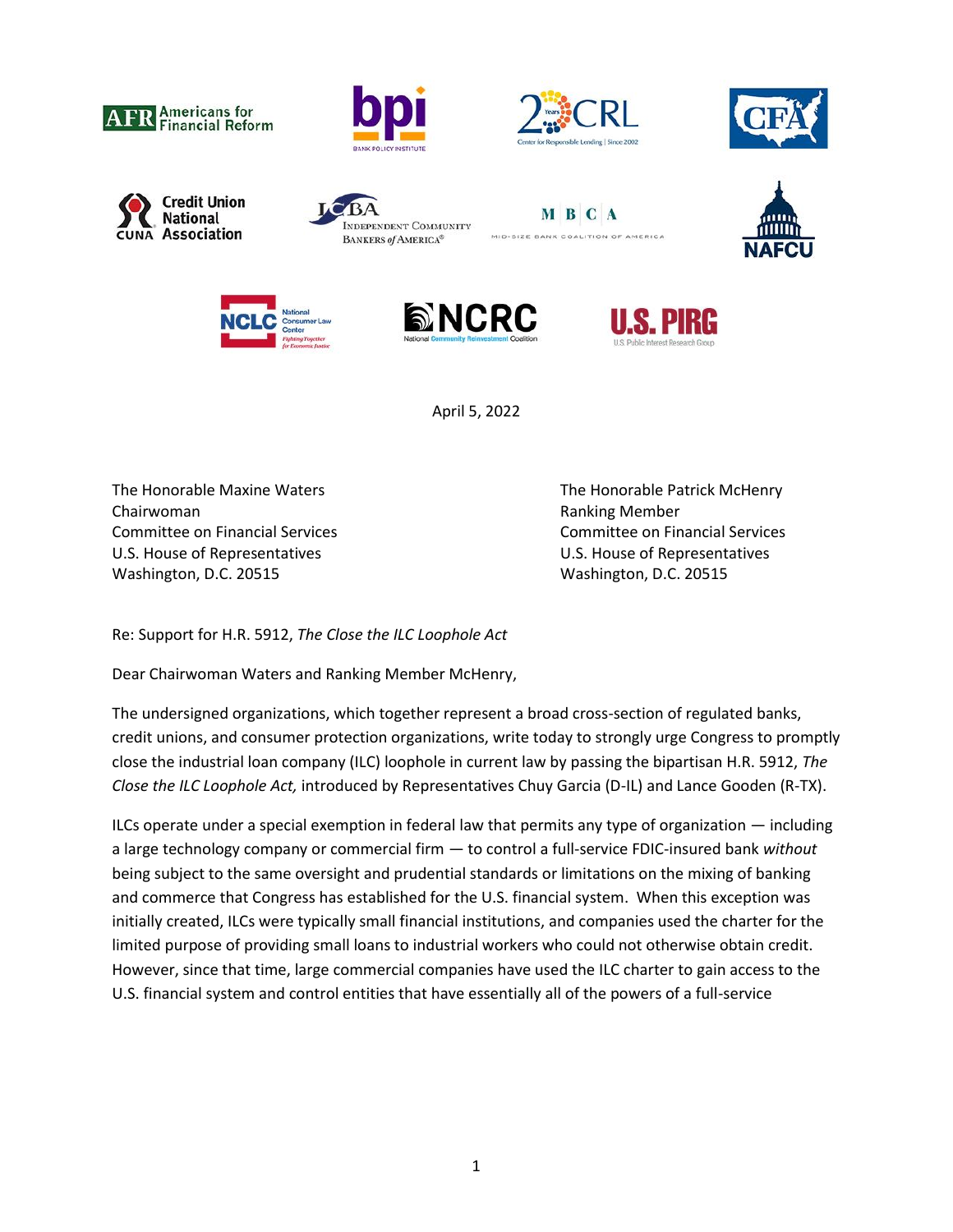





















April 5, 2022

The Honorable Maxine Waters The Honorable Patrick McHenry Chairwoman **Chairwoman** Chairwoman **Ranking Member** U.S. House of Representatives U.S. House of Representatives Washington, D.C. 20515 Washington, D.C. 20515

Committee on Financial Services Committee on Financial Services

Re: Support for H.R. 5912, *The Close the ILC Loophole Act*

Dear Chairwoman Waters and Ranking Member McHenry,

The undersigned organizations, which together represent a broad cross-section of regulated banks, credit unions, and consumer protection organizations, write today to strongly urge Congress to promptly close the industrial loan company (ILC) loophole in current law by passing the bipartisan H.R. 5912, *The Close the ILC Loophole Act,* introduced by Representatives Chuy Garcia (D-IL) and Lance Gooden (R-TX).

ILCs operate under a special exemption in federal law that permits any type of organization — including a large technology company or commercial firm — to control a full-service FDIC-insured bank *without*  being subject to the same oversight and prudential standards or limitations on the mixing of banking and commerce that Congress has established for the U.S. financial system. When this exception was initially created, ILCs were typically small financial institutions, and companies used the charter for the limited purpose of providing small loans to industrial workers who could not otherwise obtain credit. However, since that time, large commercial companies have used the ILC charter to gain access to the U.S. financial system and control entities that have essentially all of the powers of a full-service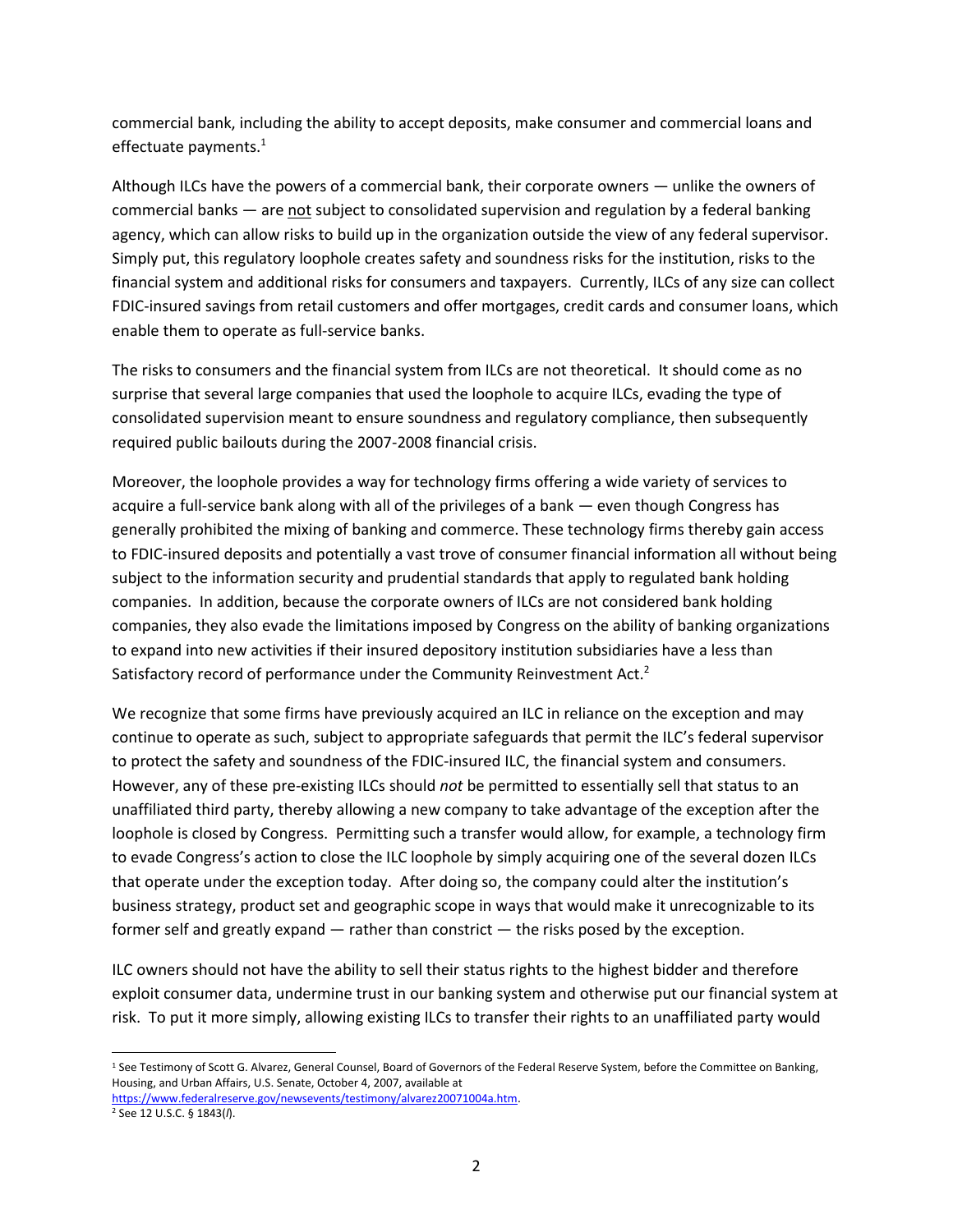commercial bank, including the ability to accept deposits, make consumer and commercial loans and effectuate payments.<sup>1</sup>

Although ILCs have the powers of a commercial bank, their corporate owners — unlike the owners of commercial banks  $-$  are not subject to consolidated supervision and regulation by a federal banking agency, which can allow risks to build up in the organization outside the view of any federal supervisor. Simply put, this regulatory loophole creates safety and soundness risks for the institution, risks to the financial system and additional risks for consumers and taxpayers. Currently, ILCs of any size can collect FDIC-insured savings from retail customers and offer mortgages, credit cards and consumer loans, which enable them to operate as full-service banks.

The risks to consumers and the financial system from ILCs are not theoretical. It should come as no surprise that several large companies that used the loophole to acquire ILCs, evading the type of consolidated supervision meant to ensure soundness and regulatory compliance, then subsequently required public bailouts during the 2007-2008 financial crisis.

Moreover, the loophole provides a way for technology firms offering a wide variety of services to acquire a full-service bank along with all of the privileges of a bank — even though Congress has generally prohibited the mixing of banking and commerce. These technology firms thereby gain access to FDIC-insured deposits and potentially a vast trove of consumer financial information all without being subject to the information security and prudential standards that apply to regulated bank holding companies. In addition, because the corporate owners of ILCs are not considered bank holding companies, they also evade the limitations imposed by Congress on the ability of banking organizations to expand into new activities if their insured depository institution subsidiaries have a less than Satisfactory record of performance under the Community Reinvestment Act.<sup>2</sup>

We recognize that some firms have previously acquired an ILC in reliance on the exception and may continue to operate as such, subject to appropriate safeguards that permit the ILC's federal supervisor to protect the safety and soundness of the FDIC-insured ILC, the financial system and consumers. However, any of these pre-existing ILCs should *not* be permitted to essentially sell that status to an unaffiliated third party, thereby allowing a new company to take advantage of the exception after the loophole is closed by Congress. Permitting such a transfer would allow, for example, a technology firm to evade Congress's action to close the ILC loophole by simply acquiring one of the several dozen ILCs that operate under the exception today. After doing so, the company could alter the institution's business strategy, product set and geographic scope in ways that would make it unrecognizable to its former self and greatly expand — rather than constrict — the risks posed by the exception.

ILC owners should not have the ability to sell their status rights to the highest bidder and therefore exploit consumer data, undermine trust in our banking system and otherwise put our financial system at risk. To put it more simply, allowing existing ILCs to transfer their rights to an unaffiliated party would

<sup>&</sup>lt;sup>1</sup> See Testimony of Scott G. Alvarez, General Counsel, Board of Governors of the Federal Reserve System, before the Committee on Banking, Housing, and Urban Affairs, U.S. Senate, October 4, 2007, available at

[https://www.federalreserve.gov/newsevents/testimony/alvarez20071004a.htm.](https://www.federalreserve.gov/newsevents/testimony/alvarez20071004a.htm) 

<sup>2</sup> See 12 U.S.C. § 1843(*l*).